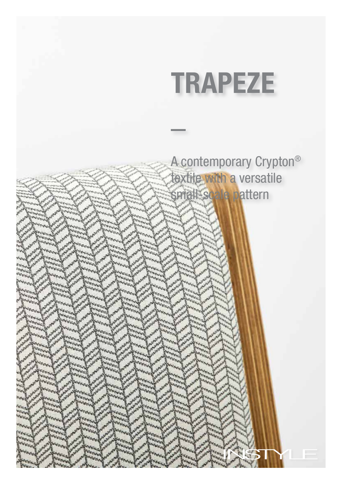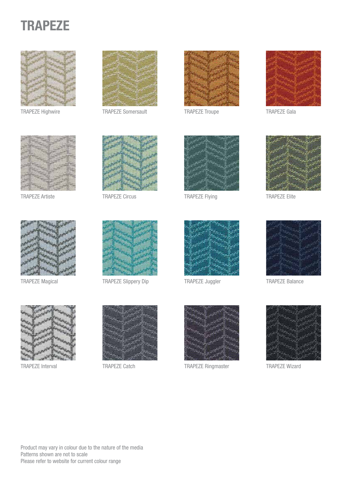# **TRAPEZE**



TRAPEZE Highwire



TRAPEZE Somersault



TRAPEZE Troupe



TRAPEZE Gala





TRAPEZE Artiste TRAPEZE Circus



TRAPEZE Flying



TRAPEZE Elite



TRAPEZE Magical



TRAPEZE Slippery Dip



TRAPEZE Juggler



TRAPEZE Balance



TRAPEZE Interval



TRAPEZE Catch



TRAPEZE Ringmaster



TRAPEZE Wizard

Product may vary in colour due to the nature of the media Patterns shown are not to scale Please refer to website for current colour range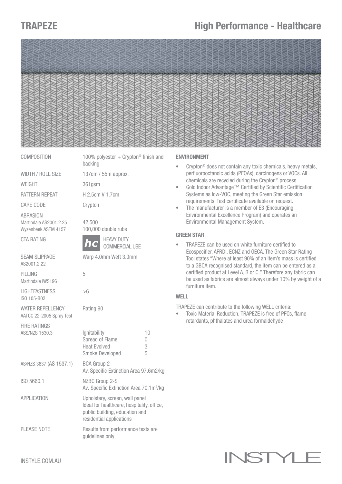## TRAPEZE **High Performance - Healthcare**



#### COMPOSITION  $100\%$  polyester + Crypton<sup>®</sup> finish and

WIDTH / ROLL SIZE 137cm / 55m approx.

WEIGHT 361gsm

PATTERN REPEAT H 2.5cm V 1.7cm

CARE CODE Crypton

#### ABRASION Martindale AS2 Wyzenbeek AS

| Martindale AS2001.2.25<br>Wyzenbeek ASTM 4157       | 42,500<br>100,000 double rubs                                                                                  |
|-----------------------------------------------------|----------------------------------------------------------------------------------------------------------------|
| <b>CTA RATING</b>                                   | <b>HEAVY DUTY</b><br>COMMERCIAL USE                                                                            |
| <b>SEAM SLIPPAGE</b><br>AS2001.2.22                 | Warp 4.0mm Weft 3.0mm                                                                                          |
| PILLING<br>Martindale IWS196                        | 5                                                                                                              |
| <b>LIGHTFASTNESS</b><br>ISO 105-B02                 | >6                                                                                                             |
| <b>WATER REPELLENCY</b><br>AATCC 22-2005 Spray Test | Rating 90                                                                                                      |
| <b>FIRE RATINGS</b><br>ASS/NZS 1530.3               | Ignitability<br>10<br>Spread of Flame<br>0<br><b>Heat Evolved</b><br>3<br>5<br>Smoke Developed                 |
| AS/NZS 3837 (AS 1537.1)                             | <b>BCA Group 2</b><br>Av. Specific Extinction Area 97.6m2/kg                                                   |
| ISO 5660.1                                          | NZBC Group 2-S<br>Av. Specific Extinction Area 70.1m <sup>2</sup> /kg                                          |
| <b>APPLICATION</b>                                  | Upholstery, screen, wall panel<br>Ideal for healthcare, hospitality, office,<br>public building, education and |

residential applications

PLEASE NOTE Results from performance tests are

guidelines only

backing

#### ENVIRONMENT

- Crypton<sup>®</sup> does not contain any toxic chemicals, heavy metals, perfluorooctanoic acids (PFOAs), carcinogens or VOCs. All chemicals are recycled during the Crypton® process.
- Gold Indoor Advantage™ Certified by Scientific Certification Systems as low-VOC, meeting the Green Star emission requirements. Test certificate available on request.
- The manufacturer is a member of E3 (Encouraging Environmental Excellence Program) and operates an Environmental Management System.

#### GREEN STAR

• TRAPEZE can be used on white furniture certified to Ecospecifier, AFRDI, ECNZ and GECA. The Green Star Rating Tool states "Where at least 90% of an item's mass is certified to a GBCA recognised standard, the item can be entered as a certified product at Level A, B or C." Therefore any fabric can be used as fabrics are almost always under 10% by weight of a furniture item.

#### WELL

TRAPEZE can contribute to the following WELL criteria:

• Toxic Material Reduction: TRAPEZE is free of PFCs, flame retardants, phthalates and urea formaldehyde